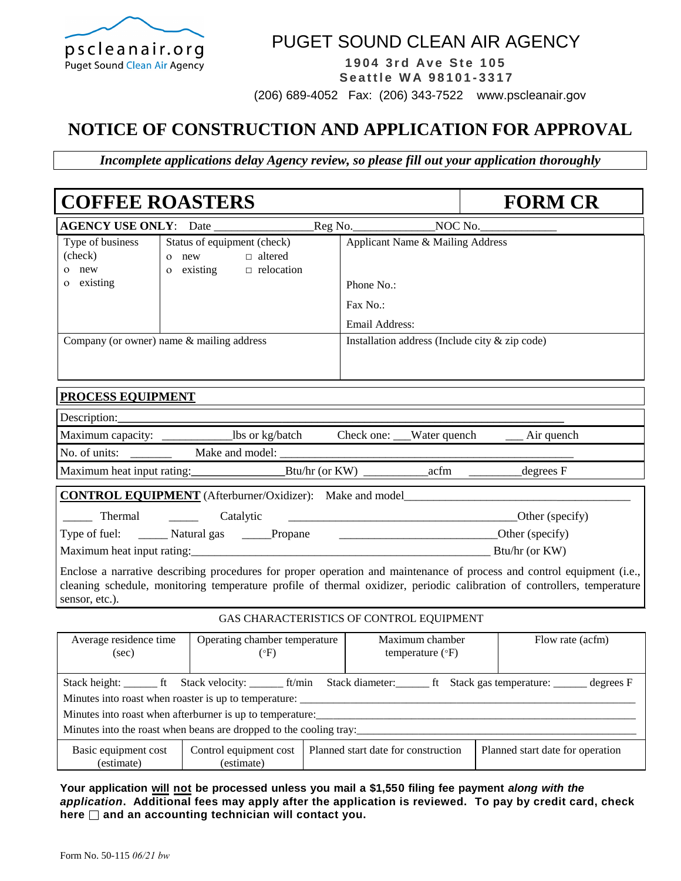

## PUGET SOUND CLEAN AIR AGENCY

**1 9 0 4 3 r d Av e St e 1 0 5 Se a ttl e W A 9 8 1 0 1 - 3317**

(206) 689-4052 Fax: (206) 343-7522 www.pscleanair.gov

## **NOTICE OF CONSTRUCTION AND APPLICATION FOR APPROVAL**

*Incomplete applications delay Agency review, so please fill out your application thoroughly* 

| <b>COFFEE ROASTERS</b><br><b>FORM CR</b>                                                                                                                                                                                                                                           |                                     |                                                                            |                                          |  |                                          |                                                |  |                                                                                                                                                                                                                                                   |
|------------------------------------------------------------------------------------------------------------------------------------------------------------------------------------------------------------------------------------------------------------------------------------|-------------------------------------|----------------------------------------------------------------------------|------------------------------------------|--|------------------------------------------|------------------------------------------------|--|---------------------------------------------------------------------------------------------------------------------------------------------------------------------------------------------------------------------------------------------------|
| AGENCY USE ONLY: Date                                                                                                                                                                                                                                                              |                                     |                                                                            |                                          |  |                                          |                                                |  |                                                                                                                                                                                                                                                   |
| Type of business<br>(check)<br>o new<br>o existing                                                                                                                                                                                                                                 |                                     | Status of equipment (check)<br>o new<br>$\circ$ existing $\Box$ relocation | $\Box$ altered                           |  | Phone No.:<br>Fax No.:<br>Email Address: | Applicant Name & Mailing Address               |  |                                                                                                                                                                                                                                                   |
| Company (or owner) name $&$ mailing address                                                                                                                                                                                                                                        |                                     |                                                                            |                                          |  |                                          | Installation address (Include city & zip code) |  |                                                                                                                                                                                                                                                   |
| PROCESS EQUIPMENT                                                                                                                                                                                                                                                                  |                                     |                                                                            |                                          |  |                                          |                                                |  |                                                                                                                                                                                                                                                   |
| Description:                                                                                                                                                                                                                                                                       |                                     |                                                                            |                                          |  |                                          |                                                |  |                                                                                                                                                                                                                                                   |
| Maximum capacity: _____________________lbs or kg/batch Check one: ___Water quench ______ Air quench                                                                                                                                                                                |                                     |                                                                            |                                          |  |                                          |                                                |  |                                                                                                                                                                                                                                                   |
|                                                                                                                                                                                                                                                                                    |                                     |                                                                            |                                          |  |                                          |                                                |  |                                                                                                                                                                                                                                                   |
|                                                                                                                                                                                                                                                                                    |                                     |                                                                            |                                          |  |                                          |                                                |  |                                                                                                                                                                                                                                                   |
| <b>CONTROL EQUIPMENT</b> (Afterburner/Oxidizer): Make and model                                                                                                                                                                                                                    |                                     |                                                                            |                                          |  |                                          |                                                |  |                                                                                                                                                                                                                                                   |
| Thermal                                                                                                                                                                                                                                                                            | <u> 1999 - Jan James Barnett, p</u> | Catalytic                                                                  |                                          |  |                                          |                                                |  | $\overline{\phantom{a}}$ Other (specify)                                                                                                                                                                                                          |
| Type of fuel: ________ Natural gas ______Propane<br>$O(1)$ $O(1)$ $O(1)$ $O(1)$ $O(1)$ $O(1)$ $O(1)$ $O(1)$ $O(1)$ $O(1)$ $O(1)$ $O(1)$ $O(1)$ $O(1)$ $O(1)$ $O(1)$ $O(1)$ $O(1)$ $O(1)$ $O(1)$ $O(1)$ $O(1)$ $O(1)$ $O(1)$ $O(1)$ $O(1)$ $O(1)$ $O(1)$ $O(1)$ $O(1)$ $O(1)$ $O(1$ |                                     |                                                                            |                                          |  |                                          |                                                |  |                                                                                                                                                                                                                                                   |
|                                                                                                                                                                                                                                                                                    |                                     |                                                                            |                                          |  |                                          |                                                |  |                                                                                                                                                                                                                                                   |
| sensor, etc.).                                                                                                                                                                                                                                                                     |                                     |                                                                            |                                          |  |                                          |                                                |  | Enclose a narrative describing procedures for proper operation and maintenance of process and control equipment (i.e.,<br>cleaning schedule, monitoring temperature profile of thermal oxidizer, periodic calibration of controllers, temperature |
|                                                                                                                                                                                                                                                                                    |                                     |                                                                            | GAS CHARACTERISTICS OF CONTROL EQUIPMENT |  |                                          |                                                |  |                                                                                                                                                                                                                                                   |
| Average residence time<br>Operating chamber temperature<br>(sec)<br>$(^{\circ}F)$                                                                                                                                                                                                  |                                     |                                                                            | Maximum chamber<br>temperature (°F)      |  |                                          | Flow rate (acfm)                               |  |                                                                                                                                                                                                                                                   |
| Minutes into roast when roaster is up to temperature:                                                                                                                                                                                                                              |                                     |                                                                            |                                          |  |                                          |                                                |  | Stack height: _______ ft Stack velocity: ________ ft/min Stack diameter: _______ ft Stack gas temperature: _______ degrees F                                                                                                                      |

Minutes into roast when afterburner is up to temperature:

Minutes into the roast when beans are dropped to the cooling tray:

| Basic equipment cost | Control equipment cost | I Planned start date for construction | Planned start date for operation |
|----------------------|------------------------|---------------------------------------|----------------------------------|
|                      | umate:                 |                                       |                                  |

**Your application will not be processed unless you mail a \$1,550 filing fee payment** *along with the application***. Additional fees may apply after the application is reviewed. To pay by credit card, check here and an accounting technician will contact you.**